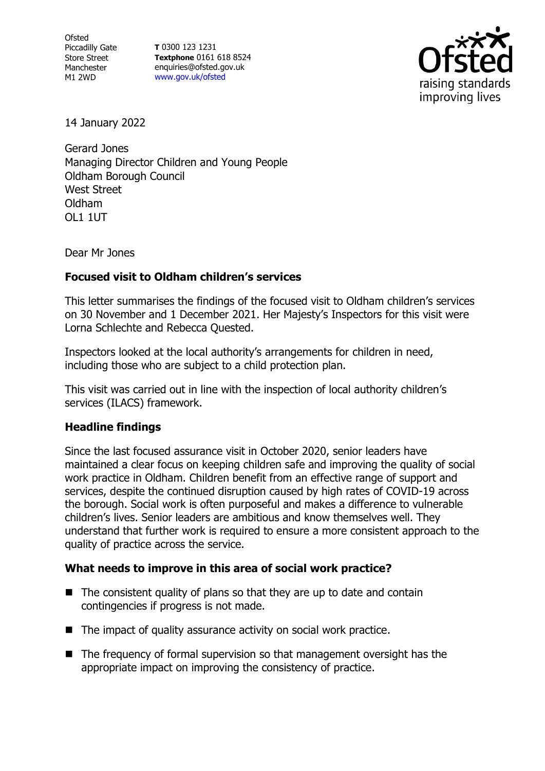Ofsted Piccadilly Gate Store Street Manchester M1 2WD

**T** 0300 123 1231 **Textphone** 0161 618 8524 enquiries@ofsted.gov.uk [www.gov.uk/ofsted](http://www.gov.uk/ofsted)



14 January 2022

Gerard Jones Managing Director Children and Young People Oldham Borough Council West Street Oldham OL1 1UT

Dear Mr Jones

## **Focused visit to Oldham children's services**

This letter summarises the findings of the focused visit to Oldham children's services on 30 November and 1 December 2021. Her Majesty's Inspectors for this visit were Lorna Schlechte and Rebecca Quested.

Inspectors looked at the local authority's arrangements for children in need, including those who are subject to a child protection plan.

This visit was carried out in line with the inspection of local authority children's services (ILACS) framework.

## **Headline findings**

Since the last focused assurance visit in October 2020, senior leaders have maintained a clear focus on keeping children safe and improving the quality of social work practice in Oldham. Children benefit from an effective range of support and services, despite the continued disruption caused by high rates of COVID-19 across the borough. Social work is often purposeful and makes a difference to vulnerable children's lives. Senior leaders are ambitious and know themselves well. They understand that further work is required to ensure a more consistent approach to the quality of practice across the service.

## **What needs to improve in this area of social work practice?**

- $\blacksquare$  The consistent quality of plans so that they are up to date and contain contingencies if progress is not made.
- The impact of quality assurance activity on social work practice.
- The frequency of formal supervision so that management oversight has the appropriate impact on improving the consistency of practice.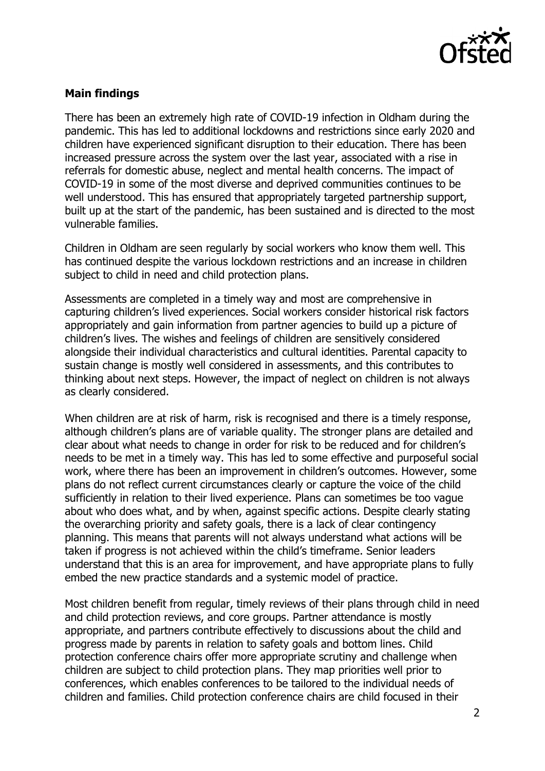

## **Main findings**

There has been an extremely high rate of COVID-19 infection in Oldham during the pandemic. This has led to additional lockdowns and restrictions since early 2020 and children have experienced significant disruption to their education. There has been increased pressure across the system over the last year, associated with a rise in referrals for domestic abuse, neglect and mental health concerns. The impact of COVID-19 in some of the most diverse and deprived communities continues to be well understood. This has ensured that appropriately targeted partnership support, built up at the start of the pandemic, has been sustained and is directed to the most vulnerable families.

Children in Oldham are seen regularly by social workers who know them well. This has continued despite the various lockdown restrictions and an increase in children subject to child in need and child protection plans.

Assessments are completed in a timely way and most are comprehensive in capturing children's lived experiences. Social workers consider historical risk factors appropriately and gain information from partner agencies to build up a picture of children's lives. The wishes and feelings of children are sensitively considered alongside their individual characteristics and cultural identities. Parental capacity to sustain change is mostly well considered in assessments, and this contributes to thinking about next steps. However, the impact of neglect on children is not always as clearly considered.

When children are at risk of harm, risk is recognised and there is a timely response, although children's plans are of variable quality. The stronger plans are detailed and clear about what needs to change in order for risk to be reduced and for children's needs to be met in a timely way. This has led to some effective and purposeful social work, where there has been an improvement in children's outcomes. However, some plans do not reflect current circumstances clearly or capture the voice of the child sufficiently in relation to their lived experience. Plans can sometimes be too vague about who does what, and by when, against specific actions. Despite clearly stating the overarching priority and safety goals, there is a lack of clear contingency planning. This means that parents will not always understand what actions will be taken if progress is not achieved within the child's timeframe. Senior leaders understand that this is an area for improvement, and have appropriate plans to fully embed the new practice standards and a systemic model of practice.

Most children benefit from regular, timely reviews of their plans through child in need and child protection reviews, and core groups. Partner attendance is mostly appropriate, and partners contribute effectively to discussions about the child and progress made by parents in relation to safety goals and bottom lines. Child protection conference chairs offer more appropriate scrutiny and challenge when children are subject to child protection plans. They map priorities well prior to conferences, which enables conferences to be tailored to the individual needs of children and families. Child protection conference chairs are child focused in their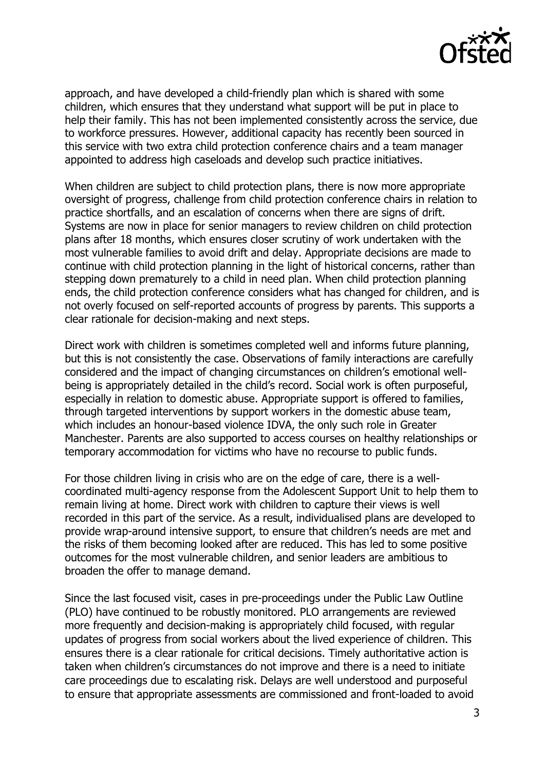

approach, and have developed a child-friendly plan which is shared with some children, which ensures that they understand what support will be put in place to help their family. This has not been implemented consistently across the service, due to workforce pressures. However, additional capacity has recently been sourced in this service with two extra child protection conference chairs and a team manager appointed to address high caseloads and develop such practice initiatives.

When children are subject to child protection plans, there is now more appropriate oversight of progress, challenge from child protection conference chairs in relation to practice shortfalls, and an escalation of concerns when there are signs of drift. Systems are now in place for senior managers to review children on child protection plans after 18 months, which ensures closer scrutiny of work undertaken with the most vulnerable families to avoid drift and delay. Appropriate decisions are made to continue with child protection planning in the light of historical concerns, rather than stepping down prematurely to a child in need plan. When child protection planning ends, the child protection conference considers what has changed for children, and is not overly focused on self-reported accounts of progress by parents. This supports a clear rationale for decision-making and next steps.

Direct work with children is sometimes completed well and informs future planning, but this is not consistently the case. Observations of family interactions are carefully considered and the impact of changing circumstances on children's emotional wellbeing is appropriately detailed in the child's record. Social work is often purposeful, especially in relation to domestic abuse. Appropriate support is offered to families, through targeted interventions by support workers in the domestic abuse team, which includes an honour-based violence IDVA, the only such role in Greater Manchester. Parents are also supported to access courses on healthy relationships or temporary accommodation for victims who have no recourse to public funds.

For those children living in crisis who are on the edge of care, there is a wellcoordinated multi-agency response from the Adolescent Support Unit to help them to remain living at home. Direct work with children to capture their views is well recorded in this part of the service. As a result, individualised plans are developed to provide wrap-around intensive support, to ensure that children's needs are met and the risks of them becoming looked after are reduced. This has led to some positive outcomes for the most vulnerable children, and senior leaders are ambitious to broaden the offer to manage demand.

Since the last focused visit, cases in pre-proceedings under the Public Law Outline (PLO) have continued to be robustly monitored. PLO arrangements are reviewed more frequently and decision-making is appropriately child focused, with regular updates of progress from social workers about the lived experience of children. This ensures there is a clear rationale for critical decisions. Timely authoritative action is taken when children's circumstances do not improve and there is a need to initiate care proceedings due to escalating risk. Delays are well understood and purposeful to ensure that appropriate assessments are commissioned and front-loaded to avoid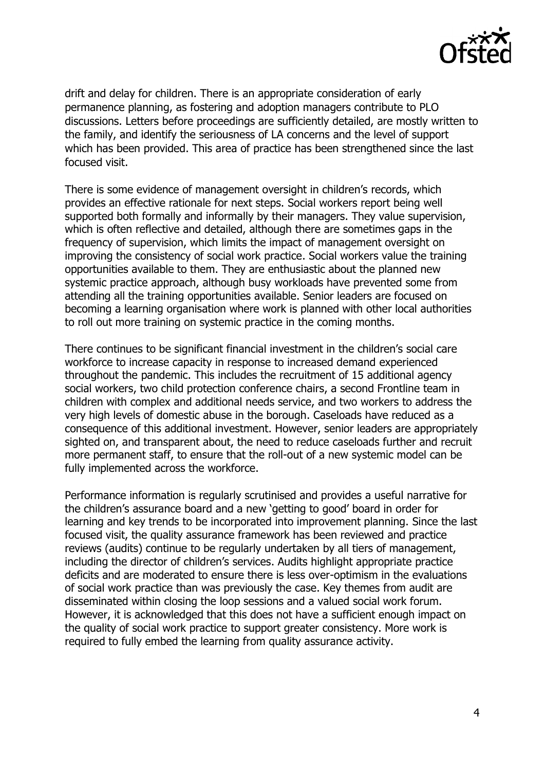

drift and delay for children. There is an appropriate consideration of early permanence planning, as fostering and adoption managers contribute to PLO discussions. Letters before proceedings are sufficiently detailed, are mostly written to the family, and identify the seriousness of LA concerns and the level of support which has been provided. This area of practice has been strengthened since the last focused visit.

There is some evidence of management oversight in children's records, which provides an effective rationale for next steps. Social workers report being well supported both formally and informally by their managers. They value supervision, which is often reflective and detailed, although there are sometimes gaps in the frequency of supervision, which limits the impact of management oversight on improving the consistency of social work practice. Social workers value the training opportunities available to them. They are enthusiastic about the planned new systemic practice approach, although busy workloads have prevented some from attending all the training opportunities available. Senior leaders are focused on becoming a learning organisation where work is planned with other local authorities to roll out more training on systemic practice in the coming months.

There continues to be significant financial investment in the children's social care workforce to increase capacity in response to increased demand experienced throughout the pandemic. This includes the recruitment of 15 additional agency social workers, two child protection conference chairs, a second Frontline team in children with complex and additional needs service, and two workers to address the very high levels of domestic abuse in the borough. Caseloads have reduced as a consequence of this additional investment. However, senior leaders are appropriately sighted on, and transparent about, the need to reduce caseloads further and recruit more permanent staff, to ensure that the roll-out of a new systemic model can be fully implemented across the workforce.

Performance information is regularly scrutinised and provides a useful narrative for the children's assurance board and a new 'getting to good' board in order for learning and key trends to be incorporated into improvement planning. Since the last focused visit, the quality assurance framework has been reviewed and practice reviews (audits) continue to be regularly undertaken by all tiers of management, including the director of children's services. Audits highlight appropriate practice deficits and are moderated to ensure there is less over-optimism in the evaluations of social work practice than was previously the case. Key themes from audit are disseminated within closing the loop sessions and a valued social work forum. However, it is acknowledged that this does not have a sufficient enough impact on the quality of social work practice to support greater consistency. More work is required to fully embed the learning from quality assurance activity.